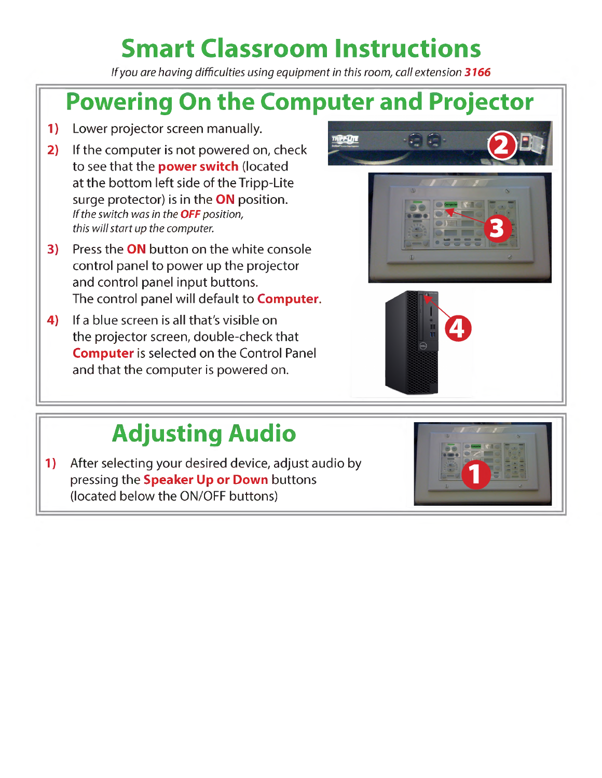# **Smart Classroom Instructions**

*If you are having difficultiesusing equipment in this room, call extension 3166*

## **Powering On the Computer and Projector**

- **1)** Lower projector screen manually.
- **2)** If the computer is not powered on, check to see that the **power switch** (located at the bottom left side of the Tripp-Lite surge protector) is in the **ON** position. *If the switch was in the OFF position, this will start up the computer.*
- **3)** Press the **ON** button on the white console control panel to power up the projector and control panel input buttons. The control panel will default to **Computer**.
- **4)** If a blue screen is all that's visible on the projector screen, double-check that **Computer**is selected on the Control Panel and that the computer is powered on.





## **Adjusting Audio**

**1)** After selecting your desired device, adjust audio by pressing the **Speaker Up or Down** buttons (located below the ON/OFF buttons)

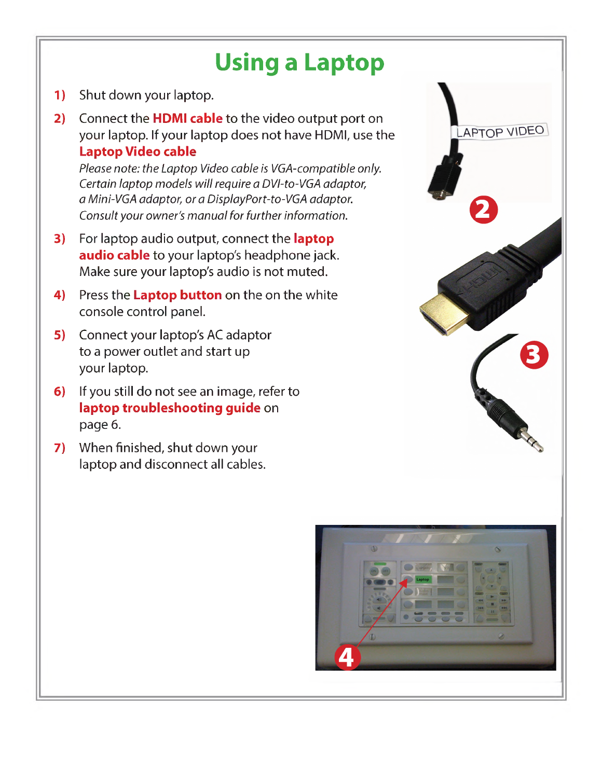## **Using a Laptop**

- **1)** Shut down your laptop.
- **2)** Connect the **HDMI cable** to the video output port on your laptop. If your laptop does not have HDMI, use the **Laptop Video cable**

*Please note: the Laptop Video cable is VGA-compatible only. Certain laptop models willrequire a DVI-to-VGA adaptor, a Mini-VGA adaptor, or a DisplayPort-to-VGAadaptor. Consult your owner's manual for further information.*

- **3)** For laptop audio output, connect the **laptop audio cable** to your laptop's headphone jack. Make sure your laptop's audio is not muted.
- **4)** Press the **Laptop button** on the on the white console control panel.
- **5)** Connect your laptop's AC adaptor to a power outlet and start up your laptop.
- **6)** If you still do not see an image, refer to **laptop troubleshooting guide** on page 6.
- **7)** When finished, shut down your laptop and disconnect all cables.



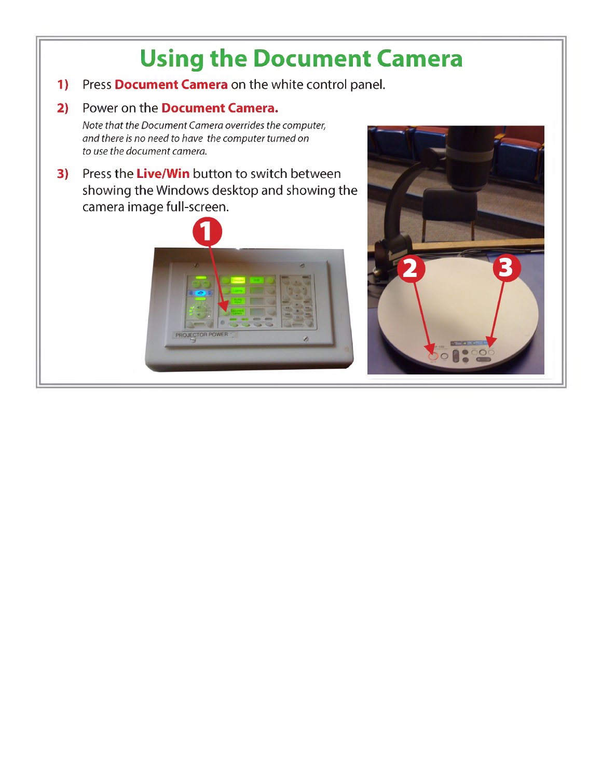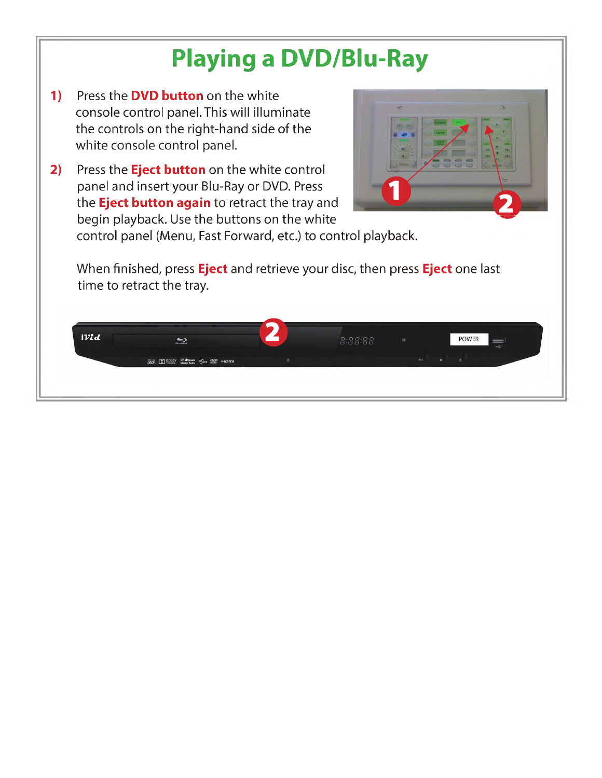